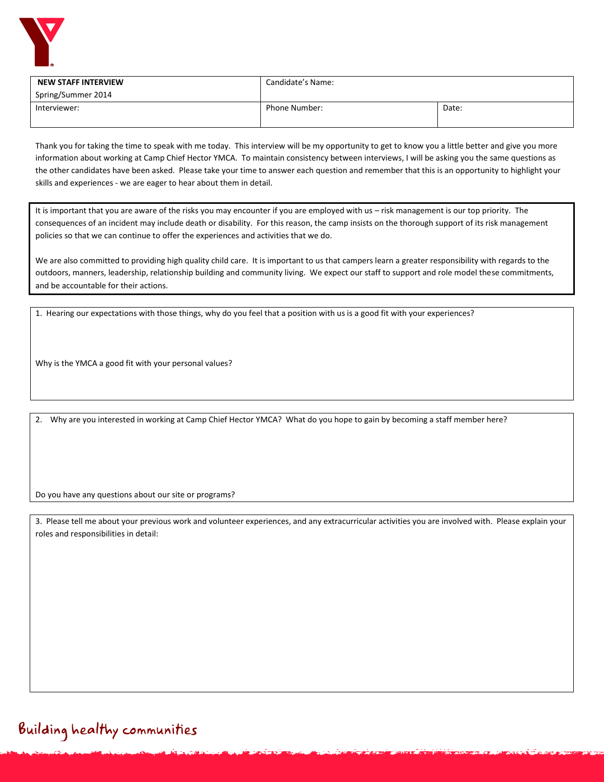

| <b>NEW STAFF INTERVIEW</b> | Candidate's Name: |       |
|----------------------------|-------------------|-------|
| Spring/Summer 2014         |                   |       |
| Interviewer:               | Phone Number:     | Date: |
|                            |                   |       |

Thank you for taking the time to speak with me today. This interview will be my opportunity to get to know you a little better and give you more information about working at Camp Chief Hector YMCA. To maintain consistency between interviews, I will be asking you the same questions as the other candidates have been asked. Please take your time to answer each question and remember that this is an opportunity to highlight your skills and experiences - we are eager to hear about them in detail.

It is important that you are aware of the risks you may encounter if you are employed with us - risk management is our top priority. The consequences of an incident may include death or disability. For this reason, the camp insists on the thorough support of its risk management policies so that we can continue to offer the experiences and activities that we do.

We are also committed to providing high quality child care. It is important to us that campers learn a greater responsibility with regards to the outdoors, manners, leadership, relationship building and community living. We expect our staff to support and role model these commitments, and be accountable for their actions.

1. Hearing our expectations with those things, why do you feel that a position with us is a good fit with your experiences?

Why is the YMCA a good fit with your personal values?

2. Why are you interested in working at Camp Chief Hector YMCA? What do you hope to gain by becoming a staff member here?

Do you have any questions about our site or programs?

3. Please tell me about your previous work and volunteer experiences, and any extracurricular activities you are involved with. Please explain your roles and responsibilities in detail: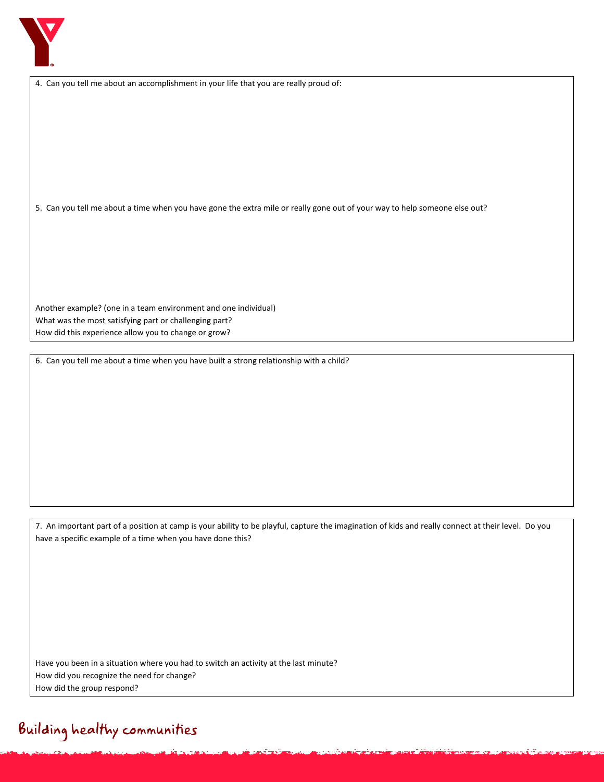

|  | 4. Can you tell me about an accomplishment in your life that you are really proud of: |  |  |  |
|--|---------------------------------------------------------------------------------------|--|--|--|
|--|---------------------------------------------------------------------------------------|--|--|--|

5. Can you tell me about a time when you have gone the extra mile or really gone out of your way to help someone else out?

Another example? (one in a team environment and one individual) What was the most satisfying part or challenging part? How did this experience allow you to change or grow?

6. Can you tell me about a time when you have built a strong relationship with a child?

7. An important part of a position at camp is your ability to be playful, capture the imagination of kids and really connect at their level. Do you have a specific example of a time when you have done this?

Have you been in a situation where you had to switch an activity at the last minute? How did you recognize the need for change? How did the group respond?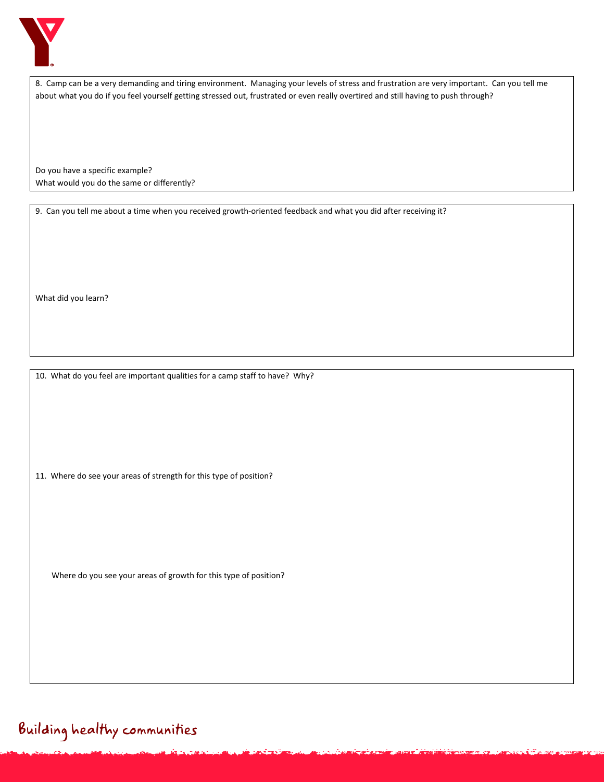

8. Camp can be a very demanding and tiring environment. Managing your levels of stress and frustration are very important. Can you tell me about what you do if you feel yourself getting stressed out, frustrated or even really overtired and still having to push through?

Do you have a specific example? What would you do the same or differently?

9. Can you tell me about a time when you received growth-oriented feedback and what you did after receiving it?

What did you learn?

10. What do you feel are important qualities for a camp staff to have? Why?

11. Where do see your areas of strength for this type of position?

Where do you see your areas of growth for this type of position?